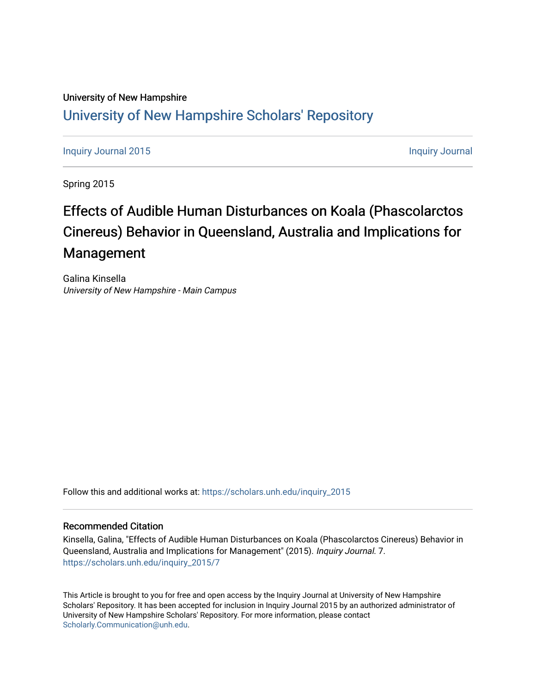## University of New Hampshire [University of New Hampshire Scholars' Repository](https://scholars.unh.edu/)

[Inquiry Journal 2015](https://scholars.unh.edu/inquiry_2015) **[Inquiry Journal](https://scholars.unh.edu/inquiry_journal) 2015** 

Spring 2015

## Effects of Audible Human Disturbances on Koala (Phascolarctos Cinereus) Behavior in Queensland, Australia and Implications for Management

Galina Kinsella University of New Hampshire - Main Campus

Follow this and additional works at: [https://scholars.unh.edu/inquiry\\_2015](https://scholars.unh.edu/inquiry_2015?utm_source=scholars.unh.edu%2Finquiry_2015%2F7&utm_medium=PDF&utm_campaign=PDFCoverPages)

#### Recommended Citation

Kinsella, Galina, "Effects of Audible Human Disturbances on Koala (Phascolarctos Cinereus) Behavior in Queensland, Australia and Implications for Management" (2015). Inquiry Journal. 7. [https://scholars.unh.edu/inquiry\\_2015/7](https://scholars.unh.edu/inquiry_2015/7?utm_source=scholars.unh.edu%2Finquiry_2015%2F7&utm_medium=PDF&utm_campaign=PDFCoverPages)

This Article is brought to you for free and open access by the Inquiry Journal at University of New Hampshire Scholars' Repository. It has been accepted for inclusion in Inquiry Journal 2015 by an authorized administrator of University of New Hampshire Scholars' Repository. For more information, please contact [Scholarly.Communication@unh.edu](mailto:Scholarly.Communication@unh.edu).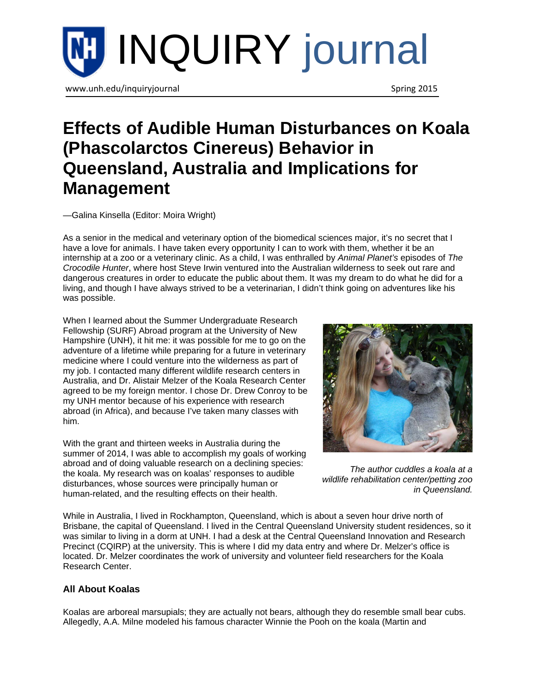

# **Effects of Audible Human Disturbances on Koala (Phascolarctos Cinereus) Behavior in Queensland, Australia and Implications for Management**

[—Galina Kinsella \(](http://www.unh.edu/inquiryjournal/author/kinsella-galina)Editor: [Moira Wright\)](http://www.unh.edu/inquiryjournal/editor/wright-moira)

As a senior in the medical and veterinary option of the biomedical sciences major, it's no secret that I have a love for animals. I have taken every opportunity I can to work with them, whether it be an internship at a zoo or a veterinary clinic. As a child, I was enthralled by *Animal Planet's* episodes of *The Crocodile Hunter*, where host Steve Irwin ventured into the Australian wilderness to seek out rare and dangerous creatures in order to educate the public about them. It was my dream to do what he did for a living, and though I have always strived to be a veterinarian, I didn't think going on adventures like his was possible.

When I learned about the Summer Undergraduate Research Fellowship (SURF) Abroad program at the University of New Hampshire (UNH), it hit me: it was possible for me to go on the adventure of a lifetime while preparing for a future in veterinary medicine where I could venture into the wilderness as part of my job. I contacted many different wildlife research centers in Australia, and Dr. Alistair Melzer of the Koala Research Center agreed to be my foreign mentor. I chose Dr. Drew Conroy to be my UNH mentor because of his experience with research abroad (in Africa), and because I've taken many classes with him.

With the grant and thirteen weeks in Australia during the summer of 2014, I was able to accomplish my goals of working abroad and of doing valuable research on a declining species: the koala. My research was on koalas' responses to audible disturbances, whose sources were principally human or human-related, and the resulting effects on their health.



*The author cuddles a koala at a wildlife rehabilitation center/petting zoo in Queensland.*

While in Australia, I lived in Rockhampton, Queensland, which is about a seven hour drive north of Brisbane, the capital of Queensland. I lived in the Central Queensland University student residences, so it was similar to living in a dorm at UNH. I had a desk at the Central Queensland Innovation and Research Precinct (CQIRP) at the university. This is where I did my data entry and where Dr. Melzer's office is located. Dr. Melzer coordinates the work of university and volunteer field researchers for the Koala Research Center.

### **All About Koalas**

Koalas are arboreal marsupials; they are actually not bears, although they do resemble small bear cubs. Allegedly, A.A. Milne modeled his famous character Winnie the Pooh on the koala (Martin and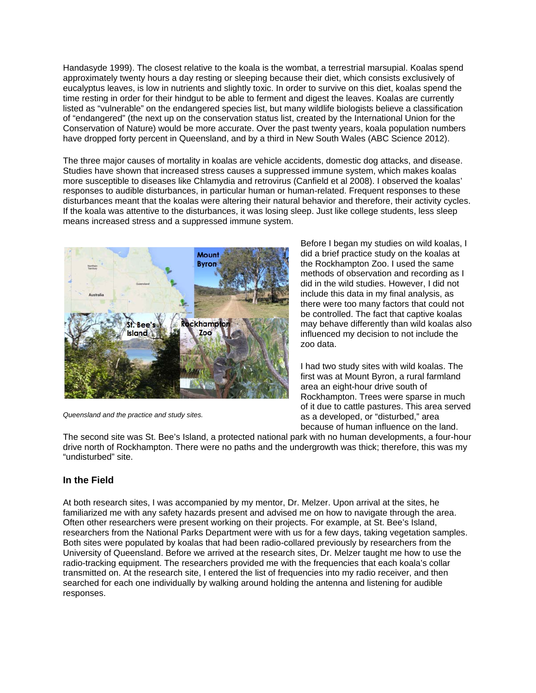Handasyde 1999). The closest relative to the koala is the wombat, a terrestrial marsupial. Koalas spend approximately twenty hours a day resting or sleeping because their diet, which consists exclusively of eucalyptus leaves, is low in nutrients and slightly toxic. In order to survive on this diet, koalas spend the time resting in order for their hindgut to be able to ferment and digest the leaves. Koalas are currently listed as "vulnerable" on the endangered species list, but many wildlife biologists believe a classification of "endangered" (the next up on the conservation status list, created by the International Union for the Conservation of Nature) would be more accurate. Over the past twenty years, koala population numbers have dropped forty percent in Queensland, and by a third in New South Wales (ABC Science 2012).

The three major causes of mortality in koalas are vehicle accidents, domestic dog attacks, and disease. Studies have shown that increased stress causes a suppressed immune system, which makes koalas more susceptible to diseases like Chlamydia and retrovirus (Canfield et al 2008). I observed the koalas' responses to audible disturbances, in particular human or human-related. Frequent responses to these disturbances meant that the koalas were altering their natural behavior and therefore, their activity cycles. If the koala was attentive to the disturbances, it was losing sleep. Just like college students, less sleep means increased stress and a suppressed immune system.



*Queensland and the practice and study sites.*

Before I began my studies on wild koalas, I did a brief practice study on the koalas at the Rockhampton Zoo. I used the same methods of observation and recording as I did in the wild studies. However, I did not include this data in my final analysis, as there were too many factors that could not be controlled. The fact that captive koalas may behave differently than wild koalas also influenced my decision to not include the zoo data.

I had two study sites with wild koalas. The first was at Mount Byron, a rural farmland area an eight-hour drive south of Rockhampton. Trees were sparse in much of it due to cattle pastures. This area served as a developed, or "disturbed," area because of human influence on the land.

The second site was St. Bee's Island, a protected national park with no human developments, a four-hour drive north of Rockhampton. There were no paths and the undergrowth was thick; therefore, this was my "undisturbed" site.

#### **In the Field**

At both research sites, I was accompanied by my mentor, Dr. Melzer. Upon arrival at the sites, he familiarized me with any safety hazards present and advised me on how to navigate through the area. Often other researchers were present working on their projects. For example, at St. Bee's Island, researchers from the National Parks Department were with us for a few days, taking vegetation samples. Both sites were populated by koalas that had been radio-collared previously by researchers from the University of Queensland. Before we arrived at the research sites, Dr. Melzer taught me how to use the radio-tracking equipment. The researchers provided me with the frequencies that each koala's collar transmitted on. At the research site, I entered the list of frequencies into my radio receiver, and then searched for each one individually by walking around holding the antenna and listening for audible responses.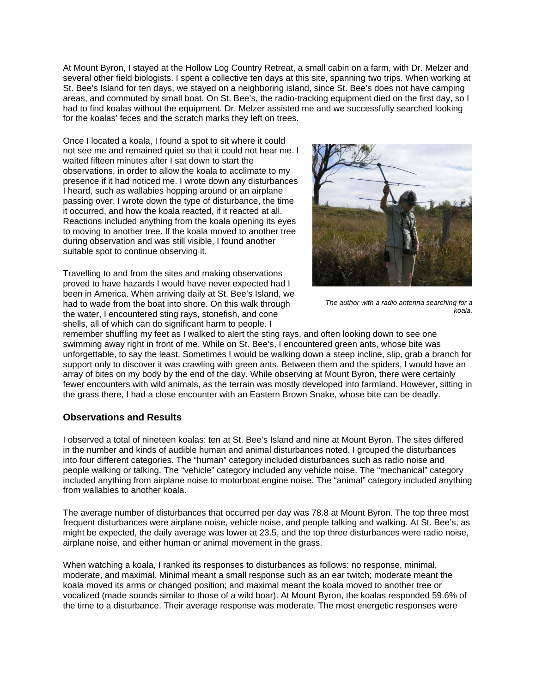At Mount Byron, I stayed at the Hollow Log Country Retreat, a small cabin on a farm, with Dr. Melzer and several other field biologists. I spent a collective ten days at this site, spanning two trips. When working at St. Bee's Island for ten days, we stayed on a neighboring island, since St. Bee's does not have camping areas, and commuted by small boat. On St. Bee's, the radio-tracking equipment died on the first day, so I had to find koalas without the equipment. Dr. Melzer assisted me and we successfully searched looking for the koalas' feces and the scratch marks they left on trees.

Once I located a koala, I found a spot to sit where it could not see me and remained quiet so that it could not hear me. I waited fifteen minutes after I sat down to start the observations, in order to allow the koala to acclimate to my presence if it had noticed me. I wrote down any disturbances I heard, such as wallabies hopping around or an airplane passing over. I wrote down the type of disturbance, the time it occurred, and how the koala reacted, if it reacted at all. Reactions included anything from the koala opening its eyes to moving to another tree. If the koala moved to another tree during observation and was still visible, I found another suitable spot to continue observing it.

Travelling to and from the sites and making observations proved to have hazards I would have never expected had I been in America. When arriving daily at St. Bee's Island, we had to wade from the boat into shore. On this walk through the water, I encountered sting rays, stonefish, and cone shells, all of which can do significant harm to people. I



*The author with a radio antenna searching for a koala.*

remember shuffling my feet as I walked to alert the sting rays, and often looking down to see one swimming away right in front of me. While on St. Bee's, I encountered green ants, whose bite was unforgettable, to say the least. Sometimes I would be walking down a steep incline, slip, grab a branch for support only to discover it was crawling with green ants. Between them and the spiders, I would have an array of bites on my body by the end of the day. While observing at Mount Byron, there were certainly fewer encounters with wild animals, as the terrain was mostly developed into farmland. However, sitting in the grass there, I had a close encounter with an Eastern Brown Snake, whose bite can be deadly.

#### **Observations and Results**

I observed a total of nineteen koalas: ten at St. Bee's Island and nine at Mount Byron. The sites differed in the number and kinds of audible human and animal disturbances noted. I grouped the disturbances into four different categories. The "human" category included disturbances such as radio noise and people walking or talking. The "vehicle" category included any vehicle noise. The "mechanical" category included anything from airplane noise to motorboat engine noise. The "animal" category included anything from wallabies to another koala.

The average number of disturbances that occurred per day was 78.8 at Mount Byron. The top three most frequent disturbances were airplane noise, vehicle noise, and people talking and walking. At St. Bee's, as might be expected, the daily average was lower at 23.5, and the top three disturbances were radio noise, airplane noise, and either human or animal movement in the grass.

When watching a koala, I ranked its responses to disturbances as follows: no response, minimal, moderate, and maximal. Minimal meant a small response such as an ear twitch; moderate meant the koala moved its arms or changed position; and maximal meant the koala moved to another tree or vocalized (made sounds similar to those of a wild boar). At Mount Byron, the koalas responded 59.6% of the time to a disturbance. Their average response was moderate. The most energetic responses were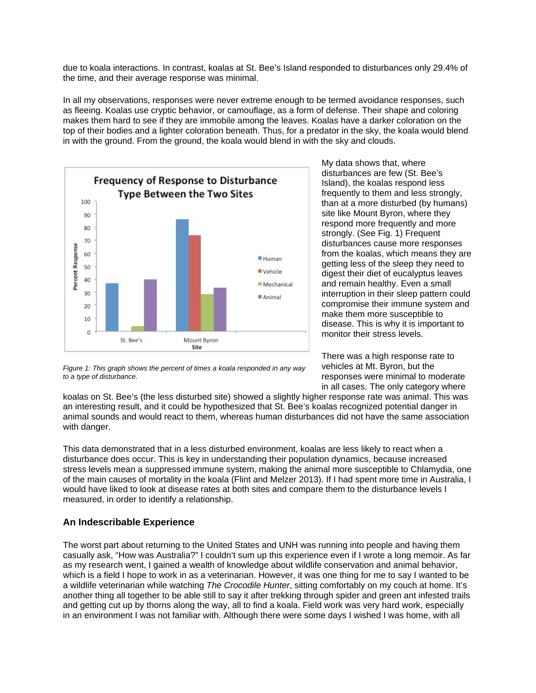due to koala interactions. In contrast, koalas at St. Bee's Island responded to disturbances only 29.4% of the time, and their average response was minimal.

In all my observations, responses were never extreme enough to be termed avoidance responses, such as fleeing. Koalas use cryptic behavior, or camouflage, as a form of defense. Their shape and coloring makes them hard to see if they are immobile among the leaves. Koalas have a darker coloration on the top of their bodies and a lighter coloration beneath. Thus, for a predator in the sky, the koala would blend in with the ground. From the ground, the koala would blend in with the sky and clouds.



My data shows that, where disturbances are few (St. Bee's Island), the koalas respond less frequently to them and less strongly, than at a more disturbed (by humans) site like Mount Byron, where they respond more frequently and more strongly. (See Fig. 1) Frequent disturbances cause more responses from the koalas, which means they are getting less of the sleep they need to digest their diet of eucalyptus leaves and remain healthy. Even a small interruption in their sleep pattern could compromise their immune system and make them more susceptible to disease. This is why it is important to monitor their stress levels.

There was a high response rate to vehicles at Mt. Byron, but the responses were minimal to moderate in all cases. The only category where

*Figure 1: This graph shows the percent of times a koala responded in any way to a type of disturbance.*

koalas on St. Bee's (the less disturbed site) showed a slightly higher response rate was animal. This was an interesting result, and it could be hypothesized that St. Bee's koalas recognized potential danger in animal sounds and would react to them, whereas human disturbances did not have the same association with danger.

This data demonstrated that in a less disturbed environment, koalas are less likely to react when a disturbance does occur. This is key in understanding their population dynamics, because increased stress levels mean a suppressed immune system, making the animal more susceptible to Chlamydia, one of the main causes of mortality in the koala (Flint and Melzer 2013). If I had spent more time in Australia, I would have liked to look at disease rates at both sites and compare them to the disturbance levels I measured, in order to identify a relationship.

#### **An Indescribable Experience**

The worst part about returning to the United States and UNH was running into people and having them casually ask, "How was Australia?" I couldn't sum up this experience even if I wrote a long memoir. As far as my research went, I gained a wealth of knowledge about wildlife conservation and animal behavior, which is a field I hope to work in as a veterinarian. However, it was one thing for me to say I wanted to be a wildlife veterinarian while watching *The Crocodile Hunter*, sitting comfortably on my couch at home. It's another thing all together to be able still to say it after trekking through spider and green ant infested trails and getting cut up by thorns along the way, all to find a koala. Field work was very hard work, especially in an environment I was not familiar with. Although there were some days I wished I was home, with all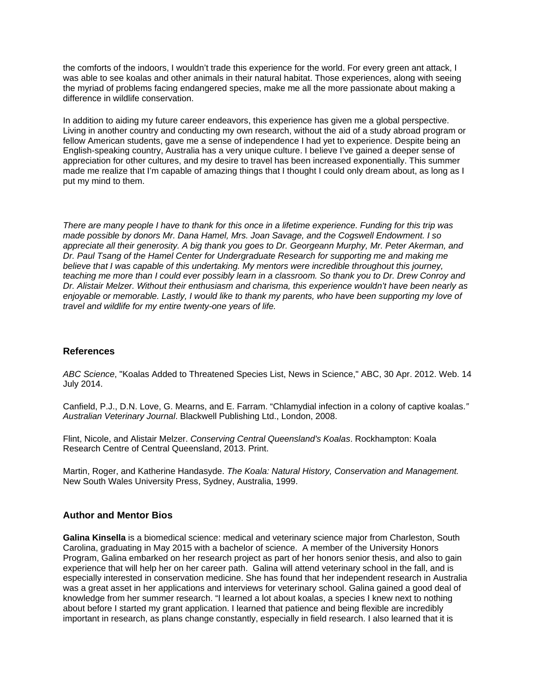the comforts of the indoors, I wouldn't trade this experience for the world. For every green ant attack, I was able to see koalas and other animals in their natural habitat. Those experiences, along with seeing the myriad of problems facing endangered species, make me all the more passionate about making a difference in wildlife conservation.

In addition to aiding my future career endeavors, this experience has given me a global perspective. Living in another country and conducting my own research, without the aid of a study abroad program or fellow American students, gave me a sense of independence I had yet to experience. Despite being an English-speaking country, Australia has a very unique culture. I believe I've gained a deeper sense of appreciation for other cultures, and my desire to travel has been increased exponentially. This summer made me realize that I'm capable of amazing things that I thought I could only dream about, as long as I put my mind to them.

*There are many people I have to thank for this once in a lifetime experience. Funding for this trip was made possible by donors Mr. Dana Hamel, Mrs. Joan Savage, and the Cogswell Endowment. I so appreciate all their generosity. A big thank you goes to Dr. Georgeann Murphy, Mr. Peter Akerman, and Dr. Paul Tsang of the Hamel Center for Undergraduate Research for supporting me and making me believe that I was capable of this undertaking. My mentors were incredible throughout this journey, teaching me more than I could ever possibly learn in a classroom. So thank you to Dr. Drew Conroy and Dr. Alistair Melzer. Without their enthusiasm and charisma, this experience wouldn't have been nearly as enjoyable or memorable. Lastly, I would like to thank my parents, who have been supporting my love of travel and wildlife for my entire twenty-one years of life.* 

#### **References**

*ABC Science*, "Koalas Added to Threatened Species List, News in Science," ABC, 30 Apr. 2012. Web. 14 July 2014.

Canfield, P.J., D.N. Love, G. Mearns, and E. Farram. "Chlamydial infection in a colony of captive koalas.*" Australian Veterinary Journal*. Blackwell Publishing Ltd., London, 2008.

Flint, Nicole, and Alistair Melzer. *Conserving Central Queensland's Koalas*. Rockhampton: Koala Research Centre of Central Queensland, 2013. Print.

Martin, Roger, and Katherine Handasyde. *The Koala: Natural History, Conservation and Management.*  New South Wales University Press, Sydney, Australia, 1999.

#### **Author and Mentor Bios**

**Galina Kinsella** is a biomedical science: medical and veterinary science major from Charleston, South Carolina, graduating in May 2015 with a bachelor of science. A member of the University Honors Program, Galina embarked on her research project as part of her honors senior thesis, and also to gain experience that will help her on her career path. Galina will attend veterinary school in the fall, and is especially interested in conservation medicine. She has found that her independent research in Australia was a great asset in her applications and interviews for veterinary school. Galina gained a good deal of knowledge from her summer research. "I learned a lot about koalas, a species I knew next to nothing about before I started my grant application. I learned that patience and being flexible are incredibly important in research, as plans change constantly, especially in field research. I also learned that it is